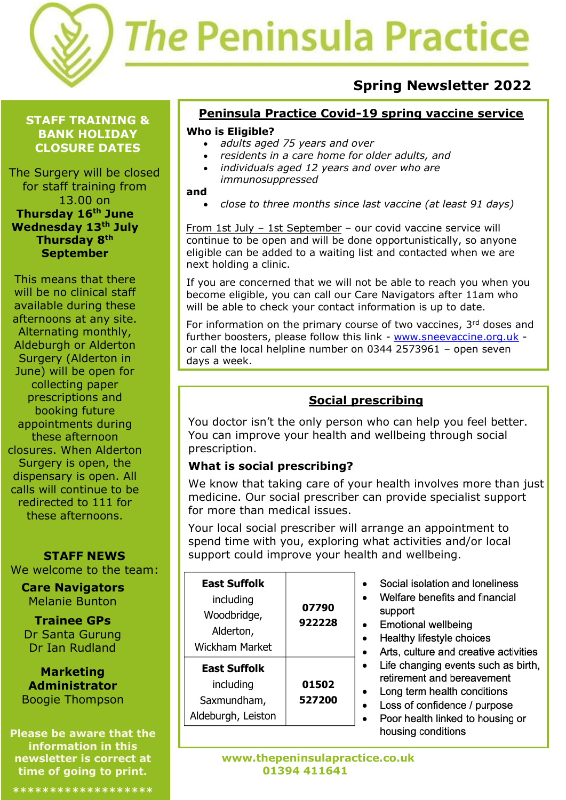

# **Spring Newsletter 2022**

#### **STAFF TRAINING & BANK HOLIDAY CLOSURE DATES**

The Surgery will be closed for staff training from 13.00 on **Thursday 16th June Wednesday 13th July Thursday 8th September**

This means that there will be no clinical staff available during these afternoons at any site. Alternating monthly, Aldeburgh or Alderton Surgery (Alderton in June) will be open for collecting paper prescriptions and booking future appointments during these afternoon closures. When Alderton Surgery is open, the dispensary is open. All calls will continue to be redirected to 111 for these afternoons.

#### **STAFF NEWS**

We welcome to the team:

**Care Navigators** Melanie Bunton

**Trainee GPs** Dr Santa Gurung Dr Ian Rudland

**Marketing Administrator** Boogie Thompson

**Please be aware that the information in this newsletter is correct at time of going to print.**

#### **Peninsula Practice Covid-19 spring vaccine service**

#### **Who is Eligible?**

- *adults aged 75 years and over*
- *residents in a care home for older adults, and*
- *individuals aged 12 years and over who are immunosuppressed*

**and**

• *close to three months since last vaccine (at least 91 days)*

From 1st July - 1st September - our covid vaccine service will continue to be open and will be done opportunistically, so anyone eligible can be added to a waiting list and contacted when we are next holding a clinic.

If you are concerned that we will not be able to reach you when you become eligible, you can call our Care Navigators after 11am who will be able to check your contact information is up to date.

For information on the primary course of two vaccines, 3rd doses and further boosters, please follow this link - [www.sneevaccine.org.uk](http://www.sneevaccine.org.uk/) or call the local helpline number on 0344 2573961 – open seven days a week.

#### **Social prescribing**

You doctor isn't the only person who can help you feel better. You can improve your health and wellbeing through social prescription.

#### **What is social prescribing?**

We know that taking care of your health involves more than just medicine. Our social prescriber can provide specialist support for more than medical issues.

Your local social prescriber will arrange an appointment to spend time with you, exploring what activities and/or local support could improve your health and wellbeing.

| East Suffolk<br>including<br>Woodbridge,<br>Alderton,<br>Wickham Market | 07790<br>922228 |
|-------------------------------------------------------------------------|-----------------|
| <b>East Suffolk</b><br>including<br>Saxmundham,<br>Aldeburgh, Leiston   | 01502<br>527200 |

j

- Social isolation and loneliness
- Welfare benefits and financial support
- $\bullet$ **Emotional wellbeing**
- Healthy lifestyle choices
- Arts, culture and creative activities
- Life changing events such as birth, retirement and bereavement
- Long term health conditions
- Loss of confidence / purpose
- Poor health linked to housing or housing conditions

 **[www.thepeninsulapractice.co.uk](http://www.thepeninsulapractice.co.uk/) 01394 411641**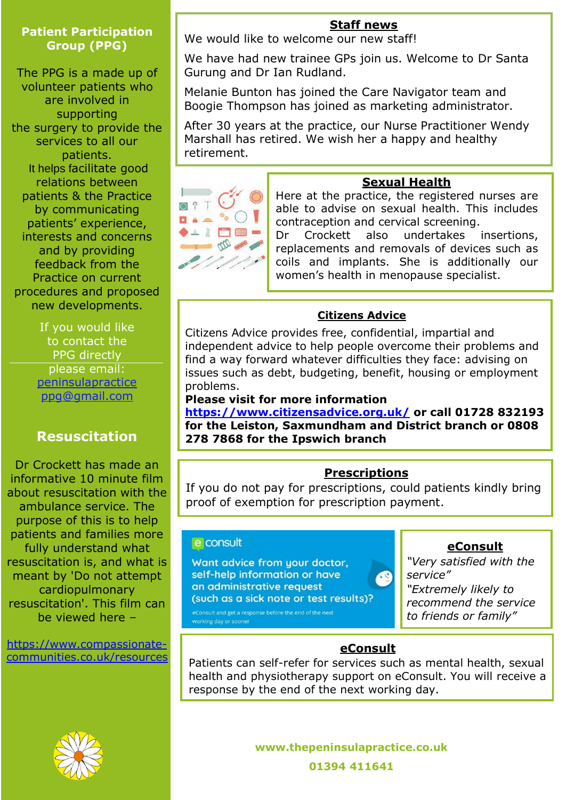#### **Patient Participation Group (PPG)**

The PPG is a made up of volunteer patients who are involved in supporting the surgery to provide the services to all our patients. It helps facilitate good relations between patients & the Practice by communicating patients' experience, interests and concerns and by providing feedback from the Practice on current procedures and proposed new developments.

> If you would like to contact the PPG directly please email: [peninsulapractice](mailto:peninsulapracticeppg@gmail.com) [ppg@gmail.com](mailto:peninsulapracticeppg@gmail.com)

## **Resuscitation**

Dr Crockett has made an informative 10 minute film about resuscitation with the ambulance service. The purpose of this is to help patients and families more fully understand what resuscitation is, and what is meant by 'Do not attempt cardiopulmonary resuscitation'. This film can be viewed here –

[https://www.compassionate](https://www.compassionate-communities.co.uk/resources)[communities.co.uk/resources](https://www.compassionate-communities.co.uk/resources)

#### **Staff news**

We would like to welcome our new staff!

We have had new trainee GPs join us. Welcome to Dr Santa Gurung and Dr Ian Rudland.

Melanie Bunton has joined the Care Navigator team and Boogie Thompson has joined as marketing administrator.

After 30 years at the practice, our Nurse Practitioner Wendy Marshall has retired. We wish her a happy and healthy retirement.

#### **Sexual Health**



Here at the practice, the registered nurses are able to advise on sexual health. This includes contraception and cervical screening.

Dr Crockett also undertakes insertions, replacements and removals of devices such as coils and implants. She is additionally our women's health in menopause specialist.

#### **Citizens Advice**

Citizens Advice provides free, confidential, impartial and independent advice to help people overcome their problems and find a way forward whatever difficulties they face: advising on issues such as debt, budgeting, benefit, housing or employment problems.

**Please visit for more information**

**<https://www.citizensadvice.org.uk/> or call 01728 832193 for the Leiston, Saxmundham and District branch or 0808 278 7868 for the Ipswich branch**

## **Prescriptions**

If you do not pay for prescriptions, could patients kindly bring proof of exemption for prescription payment.

#### e consult

Want advice from your doctor, self-help information or have an administrative request (such as a sick note or test results)?

working day or sooner



**eConsult** *"Very satisfied with the* 

*service" "Extremely likely to recommend the service to friends or family"*

## **eConsult**

Patients can self-refer for services such as mental health, sexual health and physiotherapy support on eConsult. You will receive a response by the end of the next working day.

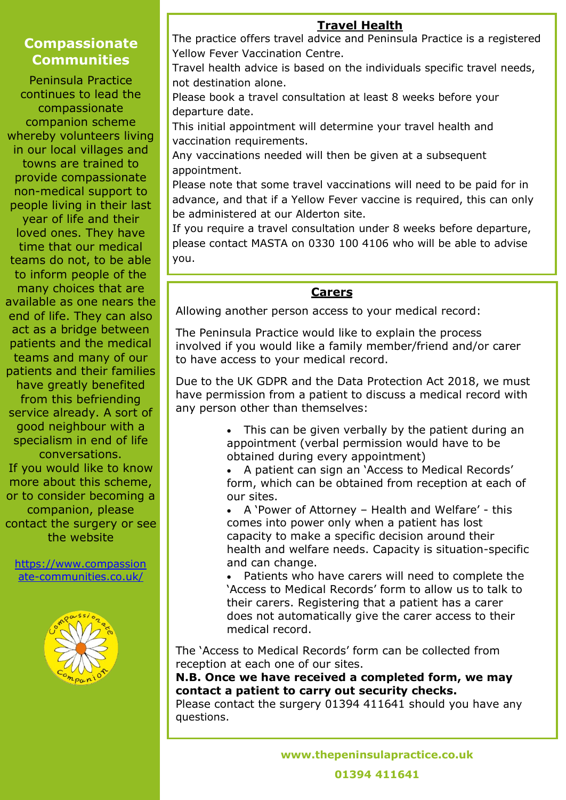### **Travel Health**

## **Compassionate Communities**

Peninsula Practice continues to lead the compassionate companion scheme whereby volunteers living in our local villages and towns are trained to provide compassionate non-medical support to people living in their last year of life and their loved ones. They have time that our medical teams do not, to be able to inform people of the many choices that are available as one nears the end of life. They can also act as a bridge between patients and the medical teams and many of our patients and their families have greatly benefited from this befriending service already. A sort of good neighbour with a specialism in end of life conversations. If you would like to know more about this scheme, or to consider becoming a companion, please contact the surgery or see the website

[https://www.compassion](https://www.compassionate-communities.co.uk/) [ate-communities.co.uk/](https://www.compassionate-communities.co.uk/)



The practice offers travel advice and Peninsula Practice is a registered Yellow Fever Vaccination Centre.

Travel health advice is based on the individuals specific travel needs, not destination alone.

Please book a travel consultation at least 8 weeks before your departure date.

This initial appointment will determine your travel health and vaccination requirements.

Any vaccinations needed will then be given at a subsequent appointment.

Please note that some travel vaccinations will need to be paid for in advance, and that if a Yellow Fever vaccine is required, this can only be administered at our Alderton site.

If you require a travel consultation under 8 weeks before departure, please contact MASTA on 0330 100 4106 who will be able to advise you.

### **Carers**

Allowing another person access to your medical record:

The Peninsula Practice would like to explain the process involved if you would like a family member/friend and/or carer to have access to your medical record.

Due to the UK GDPR and the Data Protection Act 2018, we must have permission from a patient to discuss a medical record with any person other than themselves:

> This can be given verbally by the patient during an appointment (verbal permission would have to be obtained during every appointment)

> • A patient can sign an 'Access to Medical Records' form, which can be obtained from reception at each of our sites.

> • A 'Power of Attorney – Health and Welfare' - this comes into power only when a patient has lost capacity to make a specific decision around their health and welfare needs. Capacity is situation-specific and can change.

• Patients who have carers will need to complete the 'Access to Medical Records' form to allow us to talk to their carers. Registering that a patient has a carer does not automatically give the carer access to their medical record.

The 'Access to Medical Records' form can be collected from reception at each one of our sites.

**N.B. Once we have received a completed form, we may contact a patient to carry out security checks.**

Please contact the surgery 01394 411641 should you have any questions.

**www.thepeninsulapractice.co.uk**

**01394 411641**